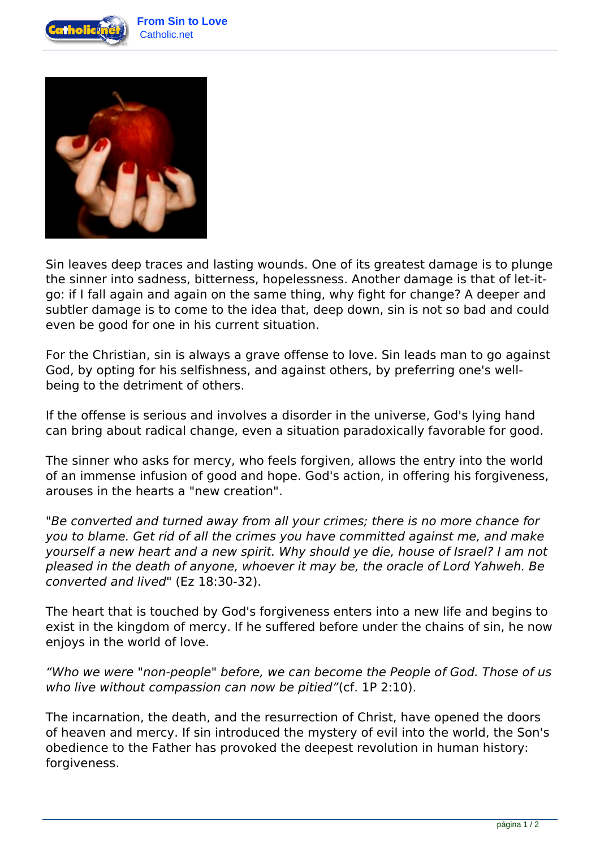



Sin leaves deep traces and lasting wounds. One of its greatest damage is to plunge the sinner into sadness, bitterness, hopelessness. Another damage is that of let-itgo: if I fall again and again on the same thing, why fight for change? A deeper and subtler damage is to come to the idea that, deep down, sin is not so bad and could even be good for one in his current situation.

For the Christian, sin is always a grave offense to love. Sin leads man to go against God, by opting for his selfishness, and against others, by preferring one's wellbeing to the detriment of others.

If the offense is serious and involves a disorder in the universe, God's lying hand can bring about radical change, even a situation paradoxically favorable for good.

The sinner who asks for mercy, who feels forgiven, allows the entry into the world of an immense infusion of good and hope. God's action, in offering his forgiveness, arouses in the hearts a "new creation".

*"Be converted and turned away from all your crimes; there is no more chance for you to blame. Get rid of all the crimes you have committed against me, and make yourself a new heart and a new spirit. Why should ye die, house of Israel? I am not pleased in the death of anyone, whoever it may be, the oracle of Lord Yahweh. Be converted and lived"* (Ez 18:30-32).

The heart that is touched by God's forgiveness enters into a new life and begins to exist in the kingdom of mercy. If he suffered before under the chains of sin, he now enjoys in the world of love.

*"Who we were "non-people" before, we can become the People of God. Those of us who live without compassion can now be pitied"*(cf. 1P 2:10).

The incarnation, the death, and the resurrection of Christ, have opened the doors of heaven and mercy. If sin introduced the mystery of evil into the world, the Son's obedience to the Father has provoked the deepest revolution in human history: forgiveness.